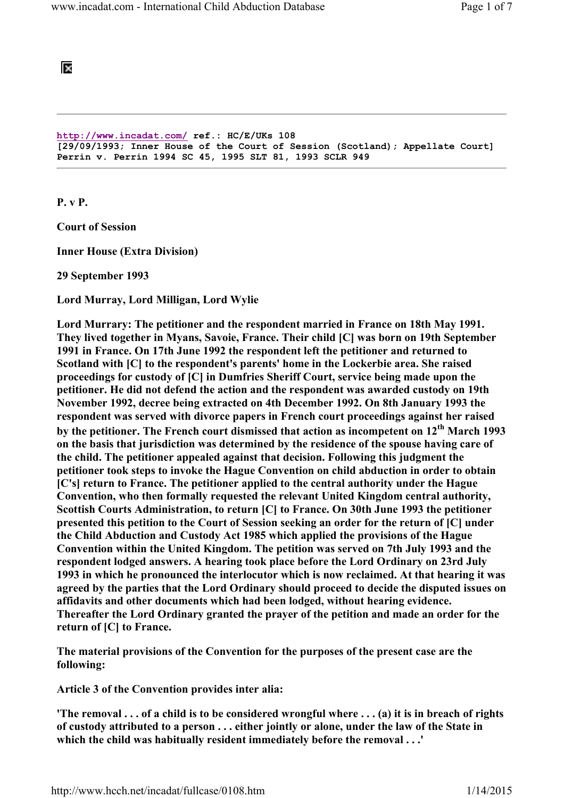## ĪХ

http://www.incadat.com/ ref.: HC/E/UKs 108 [29/09/1993; Inner House of the Court of Session (Scotland); Appellate Court] Perrin v. Perrin 1994 SC 45, 1995 SLT 81, 1993 SCLR 949

P. v P.

Court of Session

Inner House (Extra Division)

29 September 1993

Lord Murray, Lord Milligan, Lord Wylie

Lord Murrary: The petitioner and the respondent married in France on 18th May 1991. They lived together in Myans, Savoie, France. Their child [C] was born on 19th September 1991 in France. On 17th June 1992 the respondent left the petitioner and returned to Scotland with [C] to the respondent's parents' home in the Lockerbie area. She raised proceedings for custody of [C] in Dumfries Sheriff Court, service being made upon the petitioner. He did not defend the action and the respondent was awarded custody on 19th November 1992, decree being extracted on 4th December 1992. On 8th January 1993 the respondent was served with divorce papers in French court proceedings against her raised by the petitioner. The French court dismissed that action as incompetent on 12<sup>th</sup> March 1993 on the basis that jurisdiction was determined by the residence of the spouse having care of the child. The petitioner appealed against that decision. Following this judgment the petitioner took steps to invoke the Hague Convention on child abduction in order to obtain [C's] return to France. The petitioner applied to the central authority under the Hague Convention, who then formally requested the relevant United Kingdom central authority, Scottish Courts Administration, to return [C] to France. On 30th June 1993 the petitioner presented this petition to the Court of Session seeking an order for the return of [C] under the Child Abduction and Custody Act 1985 which applied the provisions of the Hague Convention within the United Kingdom. The petition was served on 7th July 1993 and the respondent lodged answers. A hearing took place before the Lord Ordinary on 23rd July 1993 in which he pronounced the interlocutor which is now reclaimed. At that hearing it was agreed by the parties that the Lord Ordinary should proceed to decide the disputed issues on affidavits and other documents which had been lodged, without hearing evidence. Thereafter the Lord Ordinary granted the prayer of the petition and made an order for the return of [C] to France.

The material provisions of the Convention for the purposes of the present case are the following:

Article 3 of the Convention provides inter alia:

'The removal  $\ldots$  of a child is to be considered wrongful where  $\ldots$  (a) it is in breach of rights of custody attributed to a person . . . either jointly or alone, under the law of the State in which the child was habitually resident immediately before the removal . . .'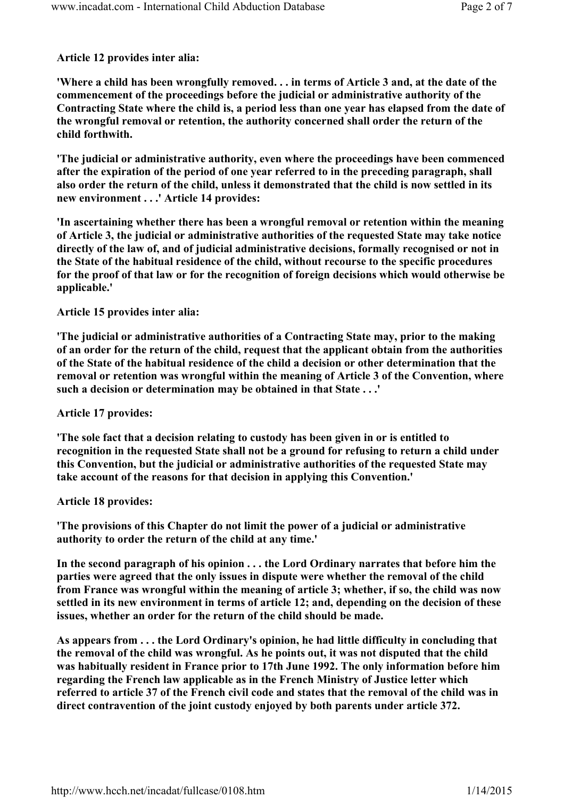## Article 12 provides inter alia:

'Where a child has been wrongfully removed. . . in terms of Article 3 and, at the date of the commencement of the proceedings before the judicial or administrative authority of the Contracting State where the child is, a period less than one year has elapsed from the date of the wrongful removal or retention, the authority concerned shall order the return of the child forthwith.

'The judicial or administrative authority, even where the proceedings have been commenced after the expiration of the period of one year referred to in the preceding paragraph, shall also order the return of the child, unless it demonstrated that the child is now settled in its new environment . . .' Article 14 provides:

'In ascertaining whether there has been a wrongful removal or retention within the meaning of Article 3, the judicial or administrative authorities of the requested State may take notice directly of the law of, and of judicial administrative decisions, formally recognised or not in the State of the habitual residence of the child, without recourse to the specific procedures for the proof of that law or for the recognition of foreign decisions which would otherwise be applicable.'

Article 15 provides inter alia:

'The judicial or administrative authorities of a Contracting State may, prior to the making of an order for the return of the child, request that the applicant obtain from the authorities of the State of the habitual residence of the child a decision or other determination that the removal or retention was wrongful within the meaning of Article 3 of the Convention, where such a decision or determination may be obtained in that State . . .'

Article 17 provides:

'The sole fact that a decision relating to custody has been given in or is entitled to recognition in the requested State shall not be a ground for refusing to return a child under this Convention, but the judicial or administrative authorities of the requested State may take account of the reasons for that decision in applying this Convention.'

Article 18 provides:

'The provisions of this Chapter do not limit the power of a judicial or administrative authority to order the return of the child at any time.'

In the second paragraph of his opinion . . . the Lord Ordinary narrates that before him the parties were agreed that the only issues in dispute were whether the removal of the child from France was wrongful within the meaning of article 3; whether, if so, the child was now settled in its new environment in terms of article 12; and, depending on the decision of these issues, whether an order for the return of the child should be made.

As appears from . . . the Lord Ordinary's opinion, he had little difficulty in concluding that the removal of the child was wrongful. As he points out, it was not disputed that the child was habitually resident in France prior to 17th June 1992. The only information before him regarding the French law applicable as in the French Ministry of Justice letter which referred to article 37 of the French civil code and states that the removal of the child was in direct contravention of the joint custody enjoyed by both parents under article 372.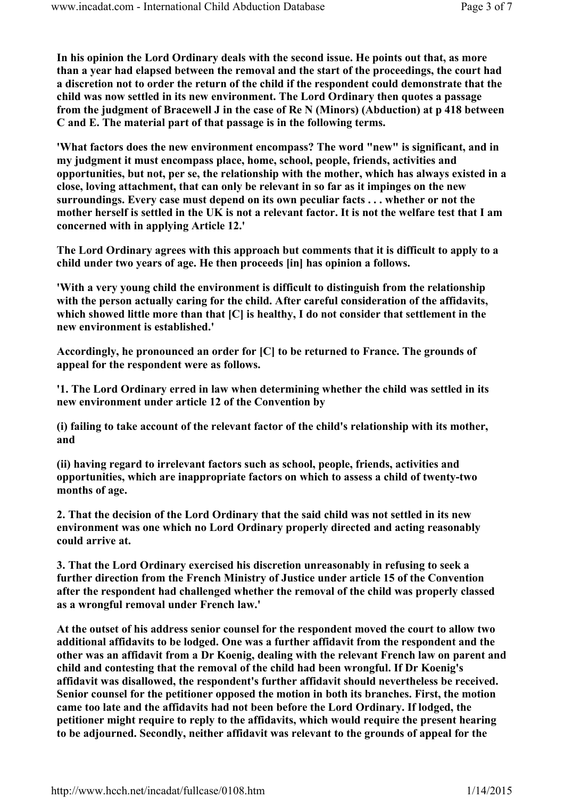In his opinion the Lord Ordinary deals with the second issue. He points out that, as more than a year had elapsed between the removal and the start of the proceedings, the court had a discretion not to order the return of the child if the respondent could demonstrate that the child was now settled in its new environment. The Lord Ordinary then quotes a passage from the judgment of Bracewell J in the case of Re N (Minors) (Abduction) at p 418 between C and E. The material part of that passage is in the following terms.

'What factors does the new environment encompass? The word "new" is significant, and in my judgment it must encompass place, home, school, people, friends, activities and opportunities, but not, per se, the relationship with the mother, which has always existed in a close, loving attachment, that can only be relevant in so far as it impinges on the new surroundings. Every case must depend on its own peculiar facts . . . whether or not the mother herself is settled in the UK is not a relevant factor. It is not the welfare test that I am concerned with in applying Article 12.'

The Lord Ordinary agrees with this approach but comments that it is difficult to apply to a child under two years of age. He then proceeds [in] has opinion a follows.

'With a very young child the environment is difficult to distinguish from the relationship with the person actually caring for the child. After careful consideration of the affidavits, which showed little more than that [C] is healthy, I do not consider that settlement in the new environment is established.'

Accordingly, he pronounced an order for [C] to be returned to France. The grounds of appeal for the respondent were as follows.

'1. The Lord Ordinary erred in law when determining whether the child was settled in its new environment under article 12 of the Convention by

(i) failing to take account of the relevant factor of the child's relationship with its mother, and

(ii) having regard to irrelevant factors such as school, people, friends, activities and opportunities, which are inappropriate factors on which to assess a child of twenty-two months of age.

2. That the decision of the Lord Ordinary that the said child was not settled in its new environment was one which no Lord Ordinary properly directed and acting reasonably could arrive at.

3. That the Lord Ordinary exercised his discretion unreasonably in refusing to seek a further direction from the French Ministry of Justice under article 15 of the Convention after the respondent had challenged whether the removal of the child was properly classed as a wrongful removal under French law.'

At the outset of his address senior counsel for the respondent moved the court to allow two additional affidavits to be lodged. One was a further affidavit from the respondent and the other was an affidavit from a Dr Koenig, dealing with the relevant French law on parent and child and contesting that the removal of the child had been wrongful. If Dr Koenig's affidavit was disallowed, the respondent's further affidavit should nevertheless be received. Senior counsel for the petitioner opposed the motion in both its branches. First, the motion came too late and the affidavits had not been before the Lord Ordinary. If lodged, the petitioner might require to reply to the affidavits, which would require the present hearing to be adjourned. Secondly, neither affidavit was relevant to the grounds of appeal for the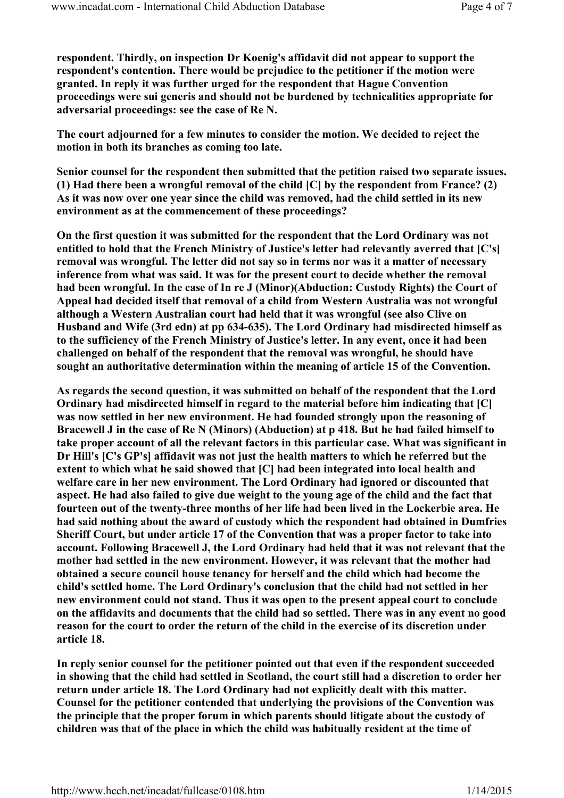respondent. Thirdly, on inspection Dr Koenig's affidavit did not appear to support the respondent's contention. There would be prejudice to the petitioner if the motion were granted. In reply it was further urged for the respondent that Hague Convention proceedings were sui generis and should not be burdened by technicalities appropriate for adversarial proceedings: see the case of Re N.

The court adjourned for a few minutes to consider the motion. We decided to reject the motion in both its branches as coming too late.

Senior counsel for the respondent then submitted that the petition raised two separate issues. (1) Had there been a wrongful removal of the child [C] by the respondent from France? (2) As it was now over one year since the child was removed, had the child settled in its new environment as at the commencement of these proceedings?

On the first question it was submitted for the respondent that the Lord Ordinary was not entitled to hold that the French Ministry of Justice's letter had relevantly averred that [C's] removal was wrongful. The letter did not say so in terms nor was it a matter of necessary inference from what was said. It was for the present court to decide whether the removal had been wrongful. In the case of In re J (Minor)(Abduction: Custody Rights) the Court of Appeal had decided itself that removal of a child from Western Australia was not wrongful although a Western Australian court had held that it was wrongful (see also Clive on Husband and Wife (3rd edn) at pp 634-635). The Lord Ordinary had misdirected himself as to the sufficiency of the French Ministry of Justice's letter. In any event, once it had been challenged on behalf of the respondent that the removal was wrongful, he should have sought an authoritative determination within the meaning of article 15 of the Convention.

As regards the second question, it was submitted on behalf of the respondent that the Lord Ordinary had misdirected himself in regard to the material before him indicating that [C] was now settled in her new environment. He had founded strongly upon the reasoning of Bracewell J in the case of Re N (Minors) (Abduction) at p 418. But he had failed himself to take proper account of all the relevant factors in this particular case. What was significant in Dr Hill's [C's GP's] affidavit was not just the health matters to which he referred but the extent to which what he said showed that [C] had been integrated into local health and welfare care in her new environment. The Lord Ordinary had ignored or discounted that aspect. He had also failed to give due weight to the young age of the child and the fact that fourteen out of the twenty-three months of her life had been lived in the Lockerbie area. He had said nothing about the award of custody which the respondent had obtained in Dumfries Sheriff Court, but under article 17 of the Convention that was a proper factor to take into account. Following Bracewell J, the Lord Ordinary had held that it was not relevant that the mother had settled in the new environment. However, it was relevant that the mother had obtained a secure council house tenancy for herself and the child which had become the child's settled home. The Lord Ordinary's conclusion that the child had not settled in her new environment could not stand. Thus it was open to the present appeal court to conclude on the affidavits and documents that the child had so settled. There was in any event no good reason for the court to order the return of the child in the exercise of its discretion under article 18.

In reply senior counsel for the petitioner pointed out that even if the respondent succeeded in showing that the child had settled in Scotland, the court still had a discretion to order her return under article 18. The Lord Ordinary had not explicitly dealt with this matter. Counsel for the petitioner contended that underlying the provisions of the Convention was the principle that the proper forum in which parents should litigate about the custody of children was that of the place in which the child was habitually resident at the time of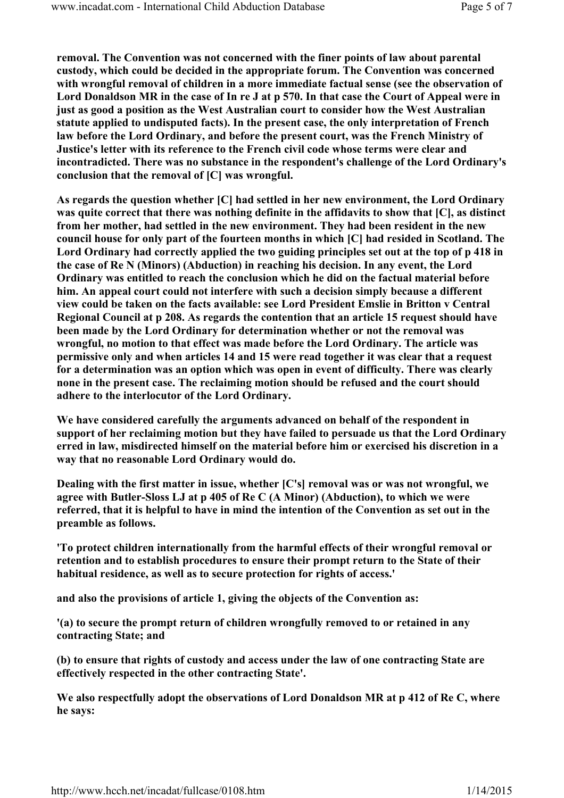removal. The Convention was not concerned with the finer points of law about parental custody, which could be decided in the appropriate forum. The Convention was concerned with wrongful removal of children in a more immediate factual sense (see the observation of Lord Donaldson MR in the case of In re J at p 570. In that case the Court of Appeal were in just as good a position as the West Australian court to consider how the West Australian statute applied to undisputed facts). In the present case, the only interpretation of French law before the Lord Ordinary, and before the present court, was the French Ministry of Justice's letter with its reference to the French civil code whose terms were clear and incontradicted. There was no substance in the respondent's challenge of the Lord Ordinary's conclusion that the removal of [C] was wrongful.

As regards the question whether [C] had settled in her new environment, the Lord Ordinary was quite correct that there was nothing definite in the affidavits to show that [C], as distinct from her mother, had settled in the new environment. They had been resident in the new council house for only part of the fourteen months in which [C] had resided in Scotland. The Lord Ordinary had correctly applied the two guiding principles set out at the top of p 418 in the case of Re N (Minors) (Abduction) in reaching his decision. In any event, the Lord Ordinary was entitled to reach the conclusion which he did on the factual material before him. An appeal court could not interfere with such a decision simply because a different view could be taken on the facts available: see Lord President Emslie in Britton v Central Regional Council at p 208. As regards the contention that an article 15 request should have been made by the Lord Ordinary for determination whether or not the removal was wrongful, no motion to that effect was made before the Lord Ordinary. The article was permissive only and when articles 14 and 15 were read together it was clear that a request for a determination was an option which was open in event of difficulty. There was clearly none in the present case. The reclaiming motion should be refused and the court should adhere to the interlocutor of the Lord Ordinary.

We have considered carefully the arguments advanced on behalf of the respondent in support of her reclaiming motion but they have failed to persuade us that the Lord Ordinary erred in law, misdirected himself on the material before him or exercised his discretion in a way that no reasonable Lord Ordinary would do.

Dealing with the first matter in issue, whether [C's] removal was or was not wrongful, we agree with Butler-Sloss LJ at p 405 of Re C (A Minor) (Abduction), to which we were referred, that it is helpful to have in mind the intention of the Convention as set out in the preamble as follows.

'To protect children internationally from the harmful effects of their wrongful removal or retention and to establish procedures to ensure their prompt return to the State of their habitual residence, as well as to secure protection for rights of access.'

and also the provisions of article 1, giving the objects of the Convention as:

'(a) to secure the prompt return of children wrongfully removed to or retained in any contracting State; and

(b) to ensure that rights of custody and access under the law of one contracting State are effectively respected in the other contracting State'.

We also respectfully adopt the observations of Lord Donaldson MR at p 412 of Re C, where he says: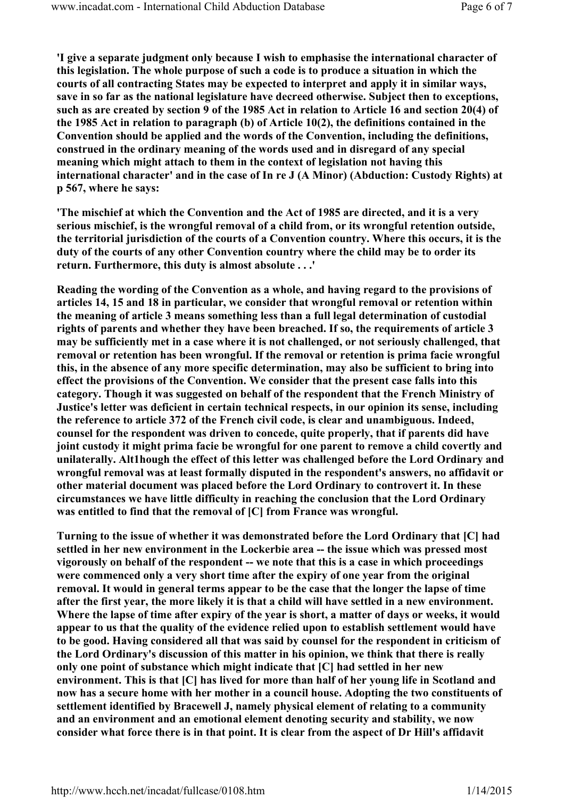'I give a separate judgment only because I wish to emphasise the international character of this legislation. The whole purpose of such a code is to produce a situation in which the courts of all contracting States may be expected to interpret and apply it in similar ways, save in so far as the national legislature have decreed otherwise. Subject then to exceptions, such as are created by section 9 of the 1985 Act in relation to Article 16 and section 20(4) of the 1985 Act in relation to paragraph (b) of Article 10(2), the definitions contained in the Convention should be applied and the words of the Convention, including the definitions, construed in the ordinary meaning of the words used and in disregard of any special meaning which might attach to them in the context of legislation not having this international character' and in the case of In re J (A Minor) (Abduction: Custody Rights) at p 567, where he says:

'The mischief at which the Convention and the Act of 1985 are directed, and it is a very serious mischief, is the wrongful removal of a child from, or its wrongful retention outside, the territorial jurisdiction of the courts of a Convention country. Where this occurs, it is the duty of the courts of any other Convention country where the child may be to order its return. Furthermore, this duty is almost absolute . . .'

Reading the wording of the Convention as a whole, and having regard to the provisions of articles 14, 15 and 18 in particular, we consider that wrongful removal or retention within the meaning of article 3 means something less than a full legal determination of custodial rights of parents and whether they have been breached. If so, the requirements of article 3 may be sufficiently met in a case where it is not challenged, or not seriously challenged, that removal or retention has been wrongful. If the removal or retention is prima facie wrongful this, in the absence of any more specific determination, may also be sufficient to bring into effect the provisions of the Convention. We consider that the present case falls into this category. Though it was suggested on behalf of the respondent that the French Ministry of Justice's letter was deficient in certain technical respects, in our opinion its sense, including the reference to article 372 of the French civil code, is clear and unambiguous. Indeed, counsel for the respondent was driven to concede, quite properly, that if parents did have joint custody it might prima facie be wrongful for one parent to remove a child covertly and unilaterally. Alt1hough the effect of this letter was challenged before the Lord Ordinary and wrongful removal was at least formally disputed in the respondent's answers, no affidavit or other material document was placed before the Lord Ordinary to controvert it. In these circumstances we have little difficulty in reaching the conclusion that the Lord Ordinary was entitled to find that the removal of [C] from France was wrongful.

Turning to the issue of whether it was demonstrated before the Lord Ordinary that [C] had settled in her new environment in the Lockerbie area -- the issue which was pressed most vigorously on behalf of the respondent -- we note that this is a case in which proceedings were commenced only a very short time after the expiry of one year from the original removal. It would in general terms appear to be the case that the longer the lapse of time after the first year, the more likely it is that a child will have settled in a new environment. Where the lapse of time after expiry of the year is short, a matter of days or weeks, it would appear to us that the quality of the evidence relied upon to establish settlement would have to be good. Having considered all that was said by counsel for the respondent in criticism of the Lord Ordinary's discussion of this matter in his opinion, we think that there is really only one point of substance which might indicate that [C] had settled in her new environment. This is that [C] has lived for more than half of her young life in Scotland and now has a secure home with her mother in a council house. Adopting the two constituents of settlement identified by Bracewell J, namely physical element of relating to a community and an environment and an emotional element denoting security and stability, we now consider what force there is in that point. It is clear from the aspect of Dr Hill's affidavit